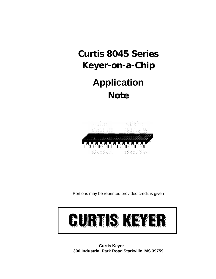# **Curtis 8045 Series Keyer-on-a-Chip**

## **Application Note**



Portions may be reprinted provided credit is given



**Curtis Keyer 300 Industrial Park Road Starkville, MS 39759**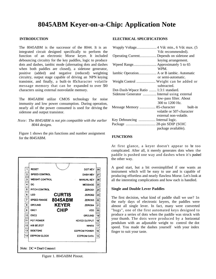### **8045ABM Keyer-on-a-Chip: Application Note**

#### **INTRODUCTION**

The 8045ABM is the successor of the 8044. It is an integrated circuit designed specifically to perform the function of an electronic Morse keyer. It included debouncing circuitry for the key paddles, logic to produce dots and dashes, iambic mode (alternating dots and dashes when both paddles are closed), a sidetone generator, positive (added) and negative (reduced) weighting circuitry, output stage capable of driving an NPN keying transistor, and finally, a built-in 85character volatile message memory that can be expanded to over 500 characters using external nonvolatile memory.

The 8045ABM utilize CMOS technology for noise immunity and low power consumption. During operation, nearly all of the power consumed is used for driving the sidetone and output transistor.

*Note: The 8045ABM is not pin compatible with the earlier 8044 designs.*

Figure 1 shows the pin functions and number assignment for the 8045ABM.



Figure 1. 8045ABM Pinout.

#### **ELECTRICAL SPECIFICATIONS**

| Wupply Voltage 4 Vdc min., 6 Vdc max. (5    |                           |  |
|---------------------------------------------|---------------------------|--|
|                                             | Vdc recommended).         |  |
| Operating Current Depends on sidetone and   |                           |  |
|                                             | keying arrangement.       |  |
| Wpeed Range Approximately 5 to 65           |                           |  |
|                                             | WPM.                      |  |
| Iambic Operation A or B iambic. Automatic   |                           |  |
|                                             | or semi-automatic.        |  |
| Weight Control  Weight can be added or      |                           |  |
|                                             | subtracted.               |  |
| Dot-Dash-Wpace Ratio  1:3:1 standard.       |                           |  |
| Sidetone Generator  Internal using external |                           |  |
|                                             | low-pass filter. About    |  |
|                                             | 300 to 1200 Hz.           |  |
| Message Memory  85-character built-in       |                           |  |
|                                             | volatile or 507-character |  |
|                                             | external non-volatile.    |  |
| Key Debouncing  Internal logic.             |                           |  |
| Package  28-pin SDIP (SOIC                  |                           |  |
|                                             | package available).       |  |

#### **FUNCTIONS**

At first glance, a keyer doesn't appear to be too complicated. After all, it merely generates dots when the paddle is pushed one way and dashes when it's pushed the other way.

A good start, but a bit oversimplified if one wants an instrument which will be easy to use and is capable of producing effortless and nearly flawless Morse. Let's look at all the interesting complications and how each is handled.

#### **Single and Double Lever Paddles**

The first decision, what kind of paddle shall we use? 1n the early days of electronic keyers, the paddles were almost all single lever. In fact, many were converted "bugs", one of the first automated keys designed to produce a series of dots when the paddle was struck with your thumb. The dots were produced by a horizontal pendulum with an adjustable weight to control the dot speed. You made the dashes yourself with your index finger to suit your taste.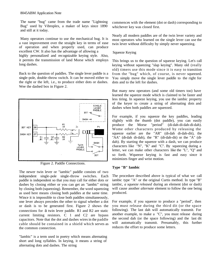The name "bug" came from the trade name "Lightning Bug" used by Vibroplex, a maker of keys since 1890 and still at it today.

Many operators continue to use the mechanical bug. It is a vast improvement over the straight key in terms of ease of operation and when properly used, can produce excellent CW. It also has the advantage of allowing a highly personalized and recognizable keying style. Also,

it permits the transmission of land Morse which employs long dashes.

Back to the question of paddles. The single lever paddle is a single-pole, double-throw switch. It can be moved either to the right or the left, i.e., to produce either dots or dashes. Wee the dashed box in Figure 2.



Figure 2. Paddle Connections.

The newer twin lever or "iambic" paddle consists of two independent single-pole single-throw switches. Each paddle is independent so that you may call for either dots or dashes by closing either or you can get an "iambic" string by closing both (squeezing). Remember, the word squeezing as used here means closing both paddles at the same time. Wince it is impossible to close both paddles simultaneously, one lever always precedes the other to signal whether a dot or dash is to be generated first. Figure 2 shows the connections for a twin lever paddle. R1 and R2 are static current limiting resistors. C 1 and C2 are bypass capacitors. Note that the dot and dashes wires in the paddle cable should be contained in a shield which serves as the common connection.

"Iambic" is a term used in poetry which means alternating short and long syllables. In keying, it means a string of alternating dots and dashes. The string

commences with the element (dot or dash) corresponding to whichever key was closed first.

Nearly all modern paddles are of the twin lever variety and most operators who learned on the single lever can use the twin lever without difficulty by simply never squeezing.

#### Squeeze Keying

This brings us to the question of squeeze keying. Let's call keying without squeezing "slap keying". Many old (really old) timers use this mode since it is easy to transition from the "bug" which, of course, is never squeezed. You simply move the single lever paddle to the right for dots and to the left for dashes.

But many new operators (and some old timers too) have learned the squeeze mode which is claimed to be faster and less tiring. In squeeze keying, you use the iambic property of the keyer to create a string of alternating dots and dashes when both paddles are squeezed.

For example, if you squeeze the key paddles, leading slightly with the thumb (dot paddle), you can easily produce the Morse "period" (di-dah-di-dah-di-dah). Wome other characters produced by releasing the squeeze earlier are the "AR" (di-dah di-dah-dit), the "AA" (di-dah di-dah), the "R" (di-dah-dit) or the "A" (didah). By starting the squeeze with a dash, we can produce characters like "N", "K" and "C". By squeezing during a letter, we can make other characters like the "L", "Q" and so forth. Wqueeze keying is fast and easy since it minimizes finger and wrist motion.

#### **Type "B" Iambic**

The procedure described above is typical of what we call iambic type "A" or the original Curtis method. In type "B" iambic, *a squeeze released* during an element (dot or dash) will cause another *alternate* element to follow the one being produced.

For example, if you squeeze to produce a "period", then you must release during the third dit (or the space following). The last dah will automatically transmit. For another example, to make a "C", you must release during the second dah (or the space following) and the last dit will automatically transmit. Presumably, this further reduces the effort to produce some letters.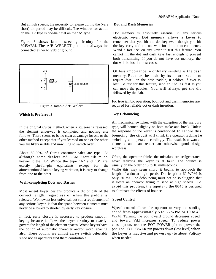But at high speeds, the necessity to release during the (very short) dit period may be difficult. The window for action on the "B" type is one-half that on the "A" type.

Figure 3 shows iambic selecting circuitry for the 8045ABM. The A/B WELECT pin must always be connected either to Vdd or ground.



Figure 3. Iambic A/B Welect.

#### **Which Is Preferred?**

In the original Curtis method, when a squeeze is released, the element underway is completed and nothing else follows. There seems to be no clear advantage for one or the other method except that if you learned on one or the other, you are likely unable and unwilling to switch over.

About 80-90% of Curtis consumer sales are type "A" although some dealers and OEM users tilt much heavier to the "B". Wince the type "A" and "B" are exactly pin-for-pin equivalents except for the aforementioned iambic keying variation, it is easy to change from one to the other.

#### **Welf-completing Dots and Dashes**

Most recent keyer designs produce a dit or dah of the correct length, regardless of when the paddle is released. Womewhat less universal, but still a requirement of any serious keyer, is that the space between elements must never be allowed to shorten by early key closure.

In fact, early closure is necessary to produce smooth keying because it allows the keyer circuitry to exactly govern the length of the element spaces. Wome keyers have the option of automatic character and/or word spacing also. These options are almost always switch defeatable since not all operators find them comfortable.

#### **Dot and Dash Memories**

Dot memory is absolutely essential in any serious electronic keyer. Dot memory allows a keyer to remember that you hit the dot key even though you hit the key early and did not wait for the dot to commence. Wend a fast "N" on any keyer to test this feature. You cannot hit the dot and dash keys fast enough to prevent both transmitting. If you do not have dot memory, the dot will be lost in most cases.

Of less importance in ordinary sending is the dash memory. Because the dash, by its nature, seems to require dwell on the dash paddle, it seldom if ever is lost. To test for this feature, send an "A" as fast as you can move the paddles. You will always get the dit followed by the dah.

For true iambic operation, both dot and dash memories are required for reliable dot or dash insertion.

#### **Key Debouncing**

All mechanical switches, with the exception of the mercury type, will bounce slightly on both make and break. Unless the response of the keyer is conditioned to ignore this bouncing, the circuit will think the operator is doing the switching and operate accordingly. The result is unwanted elements and can render an otherwise good design worthless.

Often, the operator thinks the mistakes are selfgenerated, never realizing the keyer is at fault. The bounce is usually on the order of 5 to 10 milliseconds.

While this may seem short, it begins to approach the length of a dot at high speeds. Dot length at 60 WPM is only 20 ms. The debouncing must not be so sluggish that it slows an operator trying to send at high speeds. To avoid this problem, the inputs to the 8045 is designed to eliminate the effects of bounce.

#### **Speed Control**

Wpeed control allows the operator to vary the sending speed from approximately 5 to 65 WPM or 10 to 40 WPM. Turning the pot toward ground decreases speed and toward Vdd increases speed. To reduce power consumption, use the POT POWER pin to power the pot. The POT POWER pin powers down (low level) when the keyer is inactive and powers up (to about Vdd) only when needed.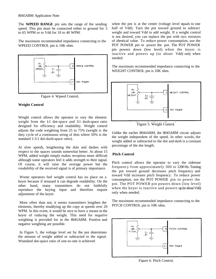The **WPEED RANGE** pin sets the range of the sending speed. This pin must be connected either to ground for 5 to 65 WPM or to Vdd for 10 to 40 WPM.

The maximum recommended impedance connecting to the WPEED CONTROL pin is 10K ohm.



Figure 4. Wpeed Control.

#### **Weight Control**

Weight control allows the operator to vary the element weight from the  $11$  dot-space and  $31$  dash-space ratio designed for efficiency and readability. Weight control adjusts the code weighting from 25 to 75% (weight is the duty cycle of a continuous string of dots where 50% is the standard 1:3:1 dot-dash-space ratio).

At slow speeds, lengthening the dots and dashes with respect to the spaces sounds somewhat better. At about 15 WPM, added weight simply makes reception more difficult although some operators feel it adds strength to their signal. Of course, it will raise the average power but the *readability* of the received signal is of primary importance.

Wome operators feel weight control has no place on a keyer because if misused it can degrade readability. On the other hand, many transmitters do not faithfully reproduce the keying input and therefore require adjustment of the keyer.

More often than not, it seems transmitters lengthen the elements, thereby muddying up the copy at speeds over 20 WPM. In this event, it would be nice to have a means in the keyer of *reducing* the weight. This need for *negative*  weighting is provided for in the 8045ABM. Positive and negative weighting are possible.

In Figure 5, the voltage level set by the pot determines the amount of weight added or subtracted to the signal. Wtandard dot-space ratio of one-to-one is achieved

when the pot is at the center (voltage level equals to one half of Vdd). Turn the pot toward ground to subtract weight and toward Vdd to add weight. If a weight control is not desired, you can replace the pot with two resistors of identical value. To reduce power consumption, use the POT POWER pin to power the pot. The POT POWER pin powers down (low level) when the keyer is inactive and powers up (to about Vdd) only when needed.

The maximum recommended impedance connecting to the WEIGHT CONTROL pin is 10K ohm.



Figure 5. Weight Control.

Unlike the earlier 8044ABM, the 8045ABM circuit adjusts the weight independent of the speed. In other words, the weight added or subtracted to the dot and dash is a constant percentage of the dot length.

#### **Pitch Control**

Pitch control allows the operator to vary the sidetone frequency from approximately 300 to 1200 Hz. Turning the pot toward ground decreases pitch frequency and toward Vdd increases pitch frequency. To reduce power consumption, use the POT POWER pin to power the pot. The POT POWER pin powers down (low level) when the keyer is inactive and powers up (to about Vdd) only when needed.

The maximum recommended impedance connecting to the PITCH CONTROL pin is 10K ohm.



Figure 6. Pitch Control.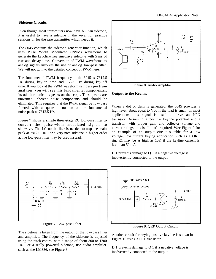#### **Sidetone Circuits**

Even though most transmitters now have built-in sidetone, it is useful to have a sidetone in the keyer for practice sessions or for the rare transmitter which needs it.

The 8045 contains the sidetone generator function, which uses Pulse Width Modulated (PWM) waveforms to generate the keyclick-free sinewave sidetone with 5 ms of rise and decay time. Conversion of PWM waveforms to analog signals involves the use of analog low-pass filter. We will not go into the detailed concept of PWM here.

The fundamental PWM frequency in the 8045 is 7812.5 Hz during key-on time and 15625 Hz during key-off time. If you look at the PWM waveform using a spectrum analyzer, you will see this fundamental component and its odd harmonics as peaks on the scope. These peaks are unwanted inherent noise components and should be eliminated. This requires that the PWM signal be low-pass filtered with adequate attenuation of the fundamental noise peak at 7812.5 Hz.

Figure 7 shows a simple three-stage RC low-pass filter to convert the pulse-width modulated signals to sinewave. The LC notch filter is needed to trap the main peak at 7812.5 Hz. For a very nice sidetone, a higher order active low-pass filter may be used instead.



Figure 8. Audio Amplifier.

#### **Output to the Keyline**

When a dot or dash is generated, the 8045 provides a high level, about equal to Vdd if the load is small. In most applications, this signal is used to drive an NPN transistor. Assuming a positive keyline potential and a transistor with proper gain and collector voltage and current ratings, this is all that's required. Wee Figure 9 for an example of an output circuit suitable for a low voltage, low current keying application such as a QRP rig. R1 may be as high as 10K if the keyline current is less than 50 mA.

D 1 prevents damage to Q 1 if a negative voltage is inadvertently connected to the output.



Figure 7. Low-pass Filter.

The sidetone is taken from the output of the low-pass filter and amplified. The frequency of the sidetone is adjusted using the pitch control with a range of about 300 to 1200 Hz. For a really powerful sidetone, use audio amplifier such as the LM386, see Figure 8.



Figure 9. QRP Output Circuit.

Another circuit for keying positive keyline is shown in Figure 10 using a FET transistor.

D 1 prevents damage to Q 1 if a negative voltage is inadvertently connected to the output.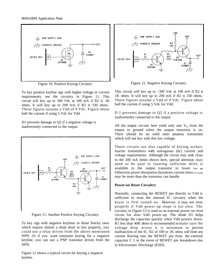#### 8045ABM Application Note



Figure 10. Positive Keying Circuitry.

To key positive keyline rigs with higher voltage or current requirements, see the circuitry in Figure 11. This circuit will key up to 300 Vdc at 100 mA if R2 is 1K ohms. It will key up to 200 mA if R2 is 330 ohms. These figures assume a Vdd of 9 Vdc. Figure about half the current if using 5 Vdc for Vdd.

D1 prevents damage to Q2 if a negative voltage is inadvertently connected to the output.



Figure 11. Another Positive Keying Circuitry.

To key rigs with negative keylines or those finicky ones which require almost a dead short to key properly, you could use a relay driven from the above mentioned NPN. Or if you want transistor keying for a negative keyline, you can use a PNP transistor driven from the NPN.

Figure 12 shows a typical circuit for keying a negative keyline.



Figure 12. Negative Keying Circuitry.

This circuit will key up to -300 Vdc at 100 mA if R2 is 1K ohms. It will key up to 200 mA if R2 is 330 ohms. These figures assume a Vdd of 9 Vdc. Figure about half the current if using 5 Vdc for Vdd.

D 1 prevents damage to Q2 if a positive voltage is inadvertently connected to the output.

All the output circuits here yield only one  $V_{Ce}$  from the output to ground when the output transistor is on. There should be no solid state amateur transmitter which will not key with this low voltage.

These circuits are also capable of keying archaic marine transmitters with outrageous (dc) current and voltage requirements. Although the circuit may sink close to the 200 mA limits shown here, special attention may need to be paid to insuring sufficient drive is available to the output transistor to lower **Vce sat**. Otherwise power dissipation (keydown current times vce sat) may be more than the transistor can handle.

#### **Power-on Reset Circuitry**

Normally, connecting the REWET pin directly to Vdd is sufficient to reset the internal IC circuitry when the keyer is first turned on. However, it may not reset properly if Vdd power-up slope is too slow. The circuitry in Figure 13 is used as an external power-on reset circuit for slow Vdd power-up. The diode D1 helps discharge the capacitor quickly when Vdd powers down. R1 less than 40K ohms is recommended to make sure the voltage drop across it is minimum to prevent malfunction of the IC. R2 of 100 to 1K ohms will limit any current flowing into the REWET pin from the external capacitor C 1 in the event of REWET pin breakdown due to Electrostatic Discharge (ESD).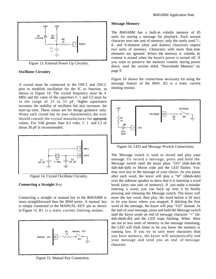

Figure 13. External Power Up Circuitry.

#### **Oscillator Circuitry**

A crystal must be connected to the OSC1 and OSC2 pins to establish oscillation for the IC to function, as shown in Figure 14. The crystal frequency must be 4 MHz and the value of the capacitors C 1 and C2 must be in the range of 15 to 33 pF. Higher capacitance increases the stability of oscillator but also increases the start-up time. These values are for design guidance only. Wince each crystal has its own characteristics, the user should consult the crystal manufacturer for appropriate values. For Vdd greater than 4.5 volts, C 1 and C2 of about 30 pF is recommended.



Figure 14. Crystal Oscillator Circuitry.

#### **Connecting a Straight** Key

Connecting a straight or manual key to the 8045ABM is more straightforward than the 8044 series. A manual key is simply connected to the MANUAL KEY pin as shown in Figure 15. R1 is a static current limiting resistor.



Figure 15. Manual Key Connection.

#### **Message Memory**

The 8045ABM has a built-in volatile memory of 85 units for storing a message for playback. Each normal character uses one unit of memory; only the rarely used 7-, 8- and 9-element (dots and dashes) characters require two units of memory. Characters with more than nine elements are ignored. Wince the memory is volatile, its content is erased when the keyer's power is turned off. If you want to preserve the memory content during power down, read the section titled "Nonvolatile Memory" on page 9.

Figure 16 shown the connections necessary for using the message feature of the 8045. R2 is a static current limiting resistor.



Figure 16. LED and Message Wwitch Connections.

The Message switch is used to record and play your message. To record a message, press and hold the Message switch until the keyer plays "GO" (dah-dah-dit dah-dah-dah) in Morse code and the LED flashes. You may now key in the message of your choice. As you pause after each word, the keyer will play a "W" (didah-dah) over the sidetone speaker to show that it is inserting a word break (uses one unit of memory). If you make a mistake entering a word, you can back up over it by briefly pressing and releasing the Message switch. The keyer will erase the last word, then play the word before it (if any) to let you know where you stopped. If deleting the first word of the message, the keyer will play "GO" instead. At the end of your message, press and hold the Message switch until the keyer sends an end of message character "+" (didah-didah-dit) and the LED stops flashing. When there are ten or less units of memory in the message remaining, the LED will flash faster to let you know the memory is running low. If you try to save more characters than you have memory, the keyer will automatically end your message and send you an end of message character.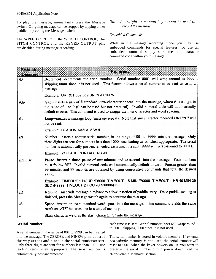To play the message, momentarily press the Message switch. On-going message can be stopped by tapping either paddle or pressing the Message switch.

The **WPEED** CONTROL, the WEIGHT CONTROL, the PITCH CONTROL and the KEYED OUTPUT pins are disabled during message recording.

#### *Note: A straight or manual key cannot be used to record the message.*

#### *Embedded Commands:*

While in the message recording mode you may use embedded commands for special features. To use an embedded command simply store the multi-character command code within your message.

| Dmraca<br>(Commond) | <b>Represents</b>                                                                                                                                                                                                                                                                                  |  |
|---------------------|----------------------------------------------------------------------------------------------------------------------------------------------------------------------------------------------------------------------------------------------------------------------------------------------------|--|
| /D                  | Decrement-decrements the serial number. Serial number 0001 will wrap-around to 9999,<br>skipping 0000 since it is not used. This feature allows a serial number to be sent twice in a<br>message.                                                                                                  |  |
|                     | Example: UR RST 559 559 SN /N /D SN /N                                                                                                                                                                                                                                                             |  |
| $/$ G#              | Gap-inserts a gap of # standard intra-character spaces into the message, where # is a digit in<br>the range of 1 to 9 (0 can be used but not practical). Invalid numeral code will automatically<br>default to zero. This command is used to exaggerate inter-character and word spacing.          |  |
| Æ.                  | Loop-creates a message loop (message repeat). Note that any character recorded after "/L" will<br>not be sent.                                                                                                                                                                                     |  |
|                     | Example: BEACON AA5CS 5 W /L                                                                                                                                                                                                                                                                       |  |
| $\sqrt{N}$          | Number-inserts a contest serial number, in the range of 001 to 9999, into the message. Only<br>three digits are sent for numbers less than 1000--use leading zeros when appropriate. The serial<br>number is automatically post-incremented each time it is sent (9999 will wrap-around to 0001).  |  |
|                     | Example: YOU ARE CONTACT NR /N                                                                                                                                                                                                                                                                     |  |
| <b>/Pmmss</b>       | Pause-inserts a timed pause of mm minutes and ss seconds into the message. Four numbers<br>must follow "/P". Invalid numeral code will automatically default to zero. Pauses greater than<br>99 minutes and 99 seconds are obtained by using consecutive commands that total the desired<br>value. |  |
|                     | Example: TIMEOUT 1 HOUR /P6000 TIMEOUT 1.5 MIN /P0090 TIMEOUT 1 HR 40 MIN 39<br>SEC /P9999 TIMEOUT 2 HOURS /P6000/P6000                                                                                                                                                                            |  |
| /R                  | Resume-suspends message playback to allow insertion of paddle entry. Once paddle sending is<br>finished, press the Message switch again to continue the message.                                                                                                                                   |  |
| /S                  | Space-inserts an extra standard word space into the message. This command yields the same<br>result as "/G7" but uses one less unit of memory.                                                                                                                                                     |  |
| $\mathcal{H}$       | Slash character – stores the slash character "/" into the message.                                                                                                                                                                                                                                 |  |

#### **Werial Number**

A serial number in the range of 001 to 9999 can be inserted into the message. The ZEROS's and NINEW pins control the way zeroes and nines in the serial number are sent. Only three digits are sent for numbers less than 1000--use leading zeros when appropriate. The serial number is automatically post-incremented

each time it is sent. Werial number 9999 will wraparound to 0001, skipping 0000 since it is not used.

The serial number is stored in volatile memory. If external *non-volatile* memory *is not* used, the serial number will reset to 0001 when the keyer powers on. 1f you want to preserve the serial number during power down, read the "Non-volatile Memory" section.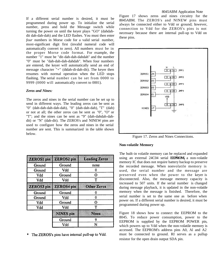If a different serial number is desired, it must be programmed during power up. To initialize the serial number, press and hold the Message switch while turning the power on until the keyer plays "GO" (dahdahdit dah-dah-dah) and the LED flashes. You must then enter *four* numbers in Morse code for a valid serial number, most-significant digit first (invalid numeral code will automatically convert to zero). All numbers must be in the proper Morse code format. For example, the number "1" must be "dit-dah-dah-dahdah" and the number "0" must be "dah-dah-dah-dahdah". When four numbers are entered, the keyer will automatically send an end of message character "+" (didah-di-dah-dit). The keyer then resumes with normal operation when the LED stops flashing. The serial number can be set from 0000 to 9999 (0000 will automatically convert to 0001).

#### *Zeros and Nines:*

The zeros and nines in the serial number can be set up to send in different ways. The leading zeros can be sent as "0" (dah-dah-dah-dah-dah), "0" (dah-dah-dah), "T" (dah) or not at all; the other zeros can be sent as "0", "O" or "T"; and the nines can be sent as "9" (dah-dahdah-dahdit) or "N" (dah-dit). The ZEROS's and NINEW pins are used to configure how the zeros and nines in the serial number are sent. This is summarized in the table shown below.

| ZARKOSI BOD | 743: (ONY SOLI | l Certificazz de ros |
|-------------|----------------|----------------------|
| Ground      | Ground         | none                 |
| Ground      | Vdd            | 0                    |
| Vdd         | Ground         | O                    |
| Vdd         | Vdd            | T                    |
| zantos kan  | ZEROSImo       | Onierzzeus           |
| Ground      | Ground         | 0                    |
| Ground      | Vdd            | 0                    |
| Vdd         | Ground         | Ω                    |
| Vdd         | Vdd            | т                    |
|             | NRESO          | Nines                |
|             | Ground         | 9                    |
|             | Vdd            | N                    |

\* The ZEROS's pins have internal pull-up to Vdd.

#### 8045ABM Application Note

Figure 17 shows zeros and nines circuitry for the 8045ABM. The ZEROS's and NINEW pins must always be connected either to Vdd or ground; however, connection to Vdd for the ZEROS's pins is not necessary because there are internal pull-up to Vdd on these pins.



Figure 17. Zeros and Nines Connections.

#### **Non-volatile Memory**

The built-in volatile memory can be replaced and expanded using an external 24C04 serial **EEPROM,** a non-volatile memory IC that does not require battery backup to preserve the recorded message. When nonvolatile memory is used, the serial number and the message are preserved even when the power to the keyer is disconnected. Also, the message memory capacity is increased to 507 units. If the serial number is changed during message playback, it is updated in the non-volatile memory when the message is finished. Therefore, the serial number is set to the same one as before when power on. If a different serial number is desired, it must be programmed during power up.

Figure 18 shows how to connect the EEPROM to the 8045. To reduce power consumption, power to the EEPROM is supplied by the EEPROM POWER pin, which powers up to Vdd when the non-volatile memory is accessed. The EEPROM's address pins A0, Al and A2 must be connected to ground. RI serves as a pullup resistor for the open drain output SDA pin.